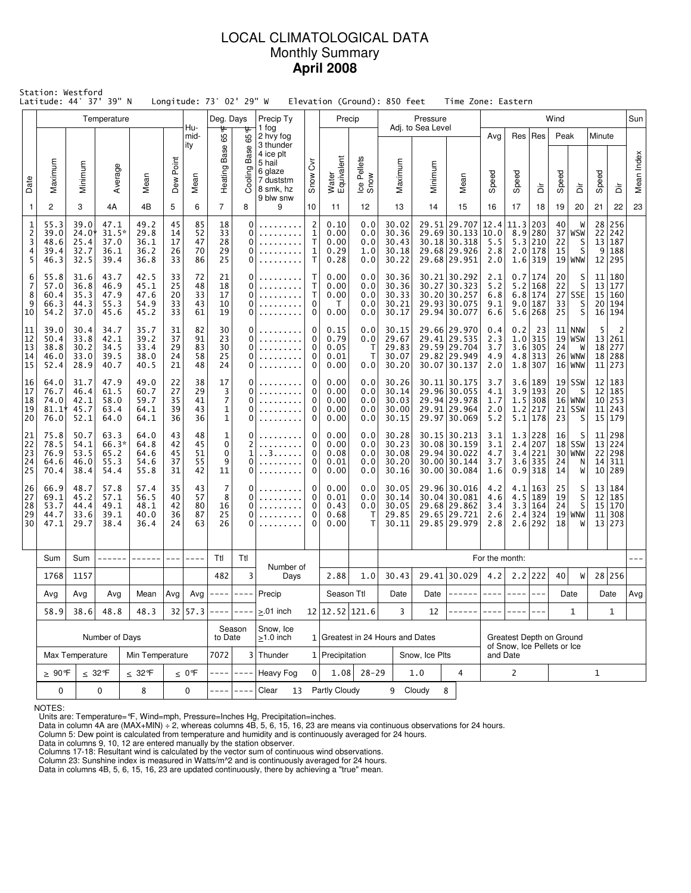## LOCAL CLIMATOLOGICAL DATA Monthly Summary **April 2008**

|                                    | Station: Westford<br>Latitude: 44° 37' 39" N |                                       |                                         |                                      |                            |                            | Longitude: 73° 02' 29" W                     |                              |                                                                                    |                                                              |                                        |                                 | Elevation (Ground): 850 feet              |                                         | Time Zone: Eastern                                                           |                                 |                          |                                                                    |                            |                                                  |                      |                                       |            |
|------------------------------------|----------------------------------------------|---------------------------------------|-----------------------------------------|--------------------------------------|----------------------------|----------------------------|----------------------------------------------|------------------------------|------------------------------------------------------------------------------------|--------------------------------------------------------------|----------------------------------------|---------------------------------|-------------------------------------------|-----------------------------------------|------------------------------------------------------------------------------|---------------------------------|--------------------------|--------------------------------------------------------------------|----------------------------|--------------------------------------------------|----------------------|---------------------------------------|------------|
|                                    |                                              |                                       | Temperature                             |                                      |                            | Hu-                        | Deg. Days                                    |                              | Precip Ty<br>1 fog                                                                 |                                                              | Precip                                 |                                 |                                           | Pressure<br>Adj. to Sea Level           |                                                                              |                                 |                          |                                                                    | Wind                       |                                                  |                      |                                       | Sun        |
| Date                               | Maximum                                      | Minimum                               | Average                                 | Mean                                 | Dew Point                  | mid-<br>ity<br>Mean        | 65°<br>Heating Base                          | 65°F<br>Base<br>Cooling      | 2 hvy fog<br>3 thunder<br>4 ice plt<br>5 hail<br>6 glaze<br>7 duststm<br>8 smk, hz | $\overline{\delta}$<br>Snow                                  | Water<br>Equivalent                    | Ice Pellets<br>Snow             | Maximum                                   | Minimum                                 | Mean                                                                         | Avg<br>Speed                    | Res<br>Speed             | Res<br>ă                                                           | Peak<br>Speed              | ă                                                | Minute<br>Speed      | ă                                     | Mean Index |
| $\overline{1}$                     | 2                                            | 3                                     | 4A                                      | 4B                                   | 5                          | 6                          | $\overline{7}$                               | 8                            | 9 blw snw<br>9                                                                     | 10                                                           | 11                                     | 12                              | 13                                        | 14                                      | 15                                                                           | 16                              | 17                       | 18                                                                 | 19                         | 20                                               | 21                   | 22                                    | 23         |
| 1<br>$\overline{c}$<br>3<br>4<br>5 | 55.3<br>39.0<br>48.6<br>39.4<br>46.3         | 39.0<br>24.0*<br>25.4<br>32.7<br>32.5 | 47.1<br>$31.5*$<br>37.0<br>36.1<br>39.4 | 49.2<br>29.8<br>36.1<br>36.2<br>36.8 | 45<br>14<br>17<br>26<br>33 | 85<br>52<br>47<br>70<br>86 | 18<br>33<br>28<br>29<br>25                   | 0<br>0<br>0<br>0<br>0        |                                                                                    | $\overline{2}$<br>1<br>т<br>$\mathbf{1}$<br>T                | 0.10<br>0.00<br>0.00<br>0.29<br>0.28   | 0.0<br>0.0<br>0.0<br>1.0<br>0.0 | 30.02<br>30.36<br>30.43<br>30.18<br>30.22 | 29.51                                   | 29.707<br>29.69 30.133 10.0<br>30.18 30.318<br>29.68 29.926<br>29.68 29.951  | 12.4<br>5.5<br>2.8<br>2.0       | 11.3<br>8.9              | 203<br>280<br>5.3 210<br>2.0 178<br>$1.6$ 319                      | 40<br>22<br>15             | W<br>$37 $ WSW<br>S<br>S<br>$19 $ WNW            | 28<br>22<br>13       | 256<br>242<br>187<br>9 188<br>12 295  |            |
| 6<br>7<br>8<br>9<br>10             | 55.8<br>57.0<br>60.4<br>66.3<br>54.2         | 31.6<br>36.8<br>35.3<br>44.3<br>37.0  | 43.7<br>46.9<br>47.9<br>55.3<br>45.6    | 42.5<br>45.1<br>47.6<br>54.9<br>45.2 | 33<br>25<br>20<br>33<br>33 | 72<br>48<br>33<br>43<br>61 | 21<br>18<br>17<br>10<br>19                   | 0<br>0<br>0<br>0<br>0        |                                                                                    | т<br>$\mathsf{T}$<br>т<br>0<br>0                             | 0.00<br>0.00<br>0.00<br>$\top$<br>0.00 | 0.0<br>0.0<br>0.0<br>0.0<br>0.0 | 30.36<br>30.36<br>30.33<br>30.21<br>30.17 |                                         | 30.21 30.292<br>30.27 30.323<br>30.20 30.257<br>29.93 30.075<br>29.94 30.077 | 2.1<br>5.2<br>6.8<br>9.1<br>6.6 |                          | 0.7 174<br>$5.2$ 168<br>$6.8$   174<br>9.0 187<br>5.6 268          | 20<br>22<br>27<br>33<br>25 | S<br>S<br>SSE<br>S<br>S                          | 11<br>13<br>15<br>20 | 180<br>177<br>160<br>194<br>16 194    |            |
| 11<br>12<br>13<br>14<br>15         | 39.0<br>50.4<br>38.8<br>46.0<br>52.4         | 30.4<br>33.8<br>30.2<br>33.0<br>28.9  | 34.7<br>42.1<br>34.5<br>39.5<br>40.7    | 35.7<br>39.2<br>33.4<br>38.0<br>40.5 | 31<br>37<br>29<br>24<br>21 | 82<br>91<br>83<br>58<br>48 | 30<br>23<br>30<br>25<br>24                   | 0<br>0<br>0<br>0<br>0        | .                                                                                  | $\Omega$<br>0<br>0<br>0<br>0                                 | 0.15<br>0.79<br>0.05<br>0.01<br>0.00   | 0.0<br>0.0<br>Т<br>T<br>0.0     | 30.15<br>29.67<br>29.83<br>30.07<br>30.20 |                                         | 29.66 29.970<br>29.41 29.535<br>29.59 29.704<br>29.82 29.949<br>30.07 30.137 | 0.4<br>2.3<br>3.7<br>4.9<br>2.0 | 0.2                      | 23<br>$1.0$   315<br>$3.6$ 305<br>$4.8$   313<br>$1.8$ 307         | 24                         | $11$ NNW<br>19 WSW <br>W<br>26 WNW <br>$16 $ WNW | 5<br>18<br>11        | 2<br>13 261<br>277<br>18 288<br>273   |            |
| 16<br>17<br>18<br>19<br>20         | 64.0<br>76.7<br>74.0<br>$81.1*$<br>76.0      | 31.7<br>46.4<br>42.1<br>45.7<br>52.1  | 47.9<br>61.5<br>58.0<br>63.4<br>64.0    | 49.0<br>60.7<br>59.7<br>64.1<br>64.1 | 22<br>27<br>35<br>39<br>36 | 38<br>29<br>41<br>43<br>36 | 17<br>3<br>7<br>$\mathbf{1}$<br>$\mathbf{1}$ | 0<br>$\Omega$<br>0<br>0<br>0 |                                                                                    | 0<br>$\Omega$<br>0<br>0<br>$\Omega$                          |                                        | 0.0<br>0.0<br>0.0<br>0.0<br>0.0 | 30.26<br>30.14<br>30.03<br>30.00<br>30.15 |                                         | 30.11 30.175<br>29.96 30.055<br>29.94 29.978<br>29.91 29.964<br>29.97 30.069 | 3.7<br>4.1<br>1.7<br>2.0<br>5.2 |                          | 3.6 189<br>$3.9$ 193<br>$1.5$ 308<br>$1.2$ 217<br>5.1 178          | 20<br>23                   | $19$ SSW<br>S<br>16 WNW <br>$21$ SSW<br>S        | 12 <br>12<br>11      | 183<br>185<br>10 253<br>243<br>15 179 |            |
| 21<br>22<br>23<br>24<br>25         | 75.8<br>78.5<br>76.9<br>64.6<br>70.4         | 50.7<br>54.1<br>53.5<br>46.0<br>38.4  | 63.3<br>$66.3*$<br>65.2<br>55.3<br>54.4 | 64.0<br>64.8<br>64.6<br>54.6<br>55.8 | 43<br>42<br>45<br>37<br>31 | 48<br>45<br>51<br>55<br>42 | $\mathbf{1}$<br>0<br>0<br>9<br>11            | 0<br>2<br>1<br>0<br>0        | $.3.$ .                                                                            | 0<br>0.00<br>0<br>$\Omega$<br>0.08<br>0<br>0.01<br>0<br>0.00 |                                        | 0.0<br>0.0<br>0.0<br>0.0<br>0.0 | 30.28<br>30.23<br>30.08<br>30.20<br>30.16 |                                         | 30.15 30.213<br>30.08 30.159<br>29.94 30.022<br>30.00 30.144<br>30.00 30.084 | 3.1<br>3.1<br>4.7<br>3.7<br>1.6 |                          | 1.3 228<br>2.4 207<br>3.4 221<br>$3.6$ 335<br>$0.9$ 318            | 16<br>30<br>24<br>14       | S<br>$18$ SSW<br>WNW<br>$\frac{N}{W}$            | 11<br>13<br>22<br>14 | 298<br>224<br>298<br>311<br>10 289    |            |
| 26<br>27<br>28<br>29<br>30         | 66.9<br>69.1<br>53.7<br>44.7<br>47.1         | 48.7<br>45.2<br>44.4<br>33.6<br>29.7  | 57.8<br>57.1<br>49.1<br>39.1<br>38.4    | 57.4<br>56.5<br>48.1<br>40.0<br>36.4 | 35<br>40<br>42<br>36<br>24 | 43<br>57<br>80<br>87<br>63 | 7<br>8<br>16<br>25<br>26                     | 0<br>0<br>0<br>0<br>0        |                                                                                    | 0<br>0<br>$\Omega$<br>0<br>$\Omega$                          | 0.00<br>0.01<br>0.43<br>0.68<br>0.00   | 0.0<br>0.0<br>0.0<br>T<br>т     | 30.05<br>30.14<br>30.05<br>29.85<br>30.11 |                                         | 29.96 30.016<br>30.04 30.081<br>29.68 29.862<br>29.65 29.721<br>29.85 29.979 | 4.2<br>4.6<br>3.4<br>2.6<br>2.8 | 2.4                      | $4.1$   163<br>$4.5$   189<br>$3.3 \mid 164$<br>324<br>$2.6$   292 | 25<br>19<br>24<br>19<br>18 | s<br>s<br>S<br><b>WNW</b><br>W                   | 12 <br>15<br>11      | 13 184<br>185<br>170<br>308<br>13 273 |            |
|                                    | Sum                                          | Sum                                   |                                         |                                      |                            |                            | Ttl                                          | Ttl                          |                                                                                    |                                                              |                                        |                                 |                                           |                                         |                                                                              | For the month:                  |                          |                                                                    |                            |                                                  |                      |                                       |            |
|                                    | 1768                                         | 1157                                  |                                         |                                      |                            |                            | 482                                          | 3                            | Number of<br>Days                                                                  |                                                              | 2.88                                   | 1.0                             |                                           | 29.41 30.029<br>30.43                   |                                                                              | 4.2                             |                          | $2.2$ 222                                                          | 40                         | W                                                |                      | 28 256                                |            |
|                                    | Avg                                          | Avg                                   | Avg                                     | Mean                                 | Avg                        |                            | Avg $ ----- -----$                           |                              | Precip                                                                             |                                                              | Season Ttl                             |                                 | Date                                      | Date                                    |                                                                              |                                 | $- - - -$                |                                                                    |                            | Date                                             |                      | Date                                  | Avg        |
|                                    | 58.9                                         | 38.6<br>48.8<br>48.3                  |                                         |                                      | 32 57.3                    | -----                      | $- - - -$                                    | $> 01$ inch                  |                                                                                    | 12 12.52 121.6                                               |                                        | 3                               | 12                                        |                                         |                                                                              |                                 |                          |                                                                    | $\mathbf{1}$               |                                                  | $\mathbf{1}$         |                                       |            |
|                                    |                                              |                                       | Number of Days                          |                                      |                            |                            | to Date                                      | Season                       | Snow, Ice<br>$>1.0$ inch                                                           |                                                              |                                        |                                 | 1 Greatest in 24 Hours and Dates          |                                         |                                                                              |                                 | Greatest Depth on Ground |                                                                    |                            |                                                  |                      |                                       |            |
|                                    | Max Temperature                              | Min Temperature                       |                                         |                                      | 7072                       |                            | 3 Thunder                                    |                              | 1 Precipitation                                                                    |                                                              |                                        | Snow, Ice Plts                  |                                           | of Snow, Ice Pellets or Ice<br>and Date |                                                                              |                                 |                          |                                                                    |                            |                                                  |                      |                                       |            |
|                                    | $\geq 90$ °F                                 |                                       | $\leq 32^{\circ}$ F                     | $\leq 32$ °F                         |                            | $\leq 0$ °F                | $- - - -$                                    | $\frac{1}{2}$                | <b>Heavy Fog</b>                                                                   | $\Omega$                                                     | 1.08                                   | $28 - 29$                       |                                           | 1.0                                     | $\overline{4}$                                                               |                                 | $\overline{2}$           |                                                                    | $\mathbf{1}$               |                                                  |                      |                                       |            |
|                                    | 0                                            |                                       | 0                                       | 8                                    |                            | 0                          |                                              | $- - - -$                    | Clear<br>13                                                                        |                                                              | Partly Cloudy                          |                                 | 9 Cloudy                                  |                                         | 8                                                                            |                                 |                          |                                                                    |                            |                                                  |                      |                                       |            |

NOTES:

Units are: Temperature=°F, Wind=mph, Pressure=Inches Hg, Precipitation=inches. Data in column 4A are (MAX+MIN) ÷ 2, whereas columns 4B, 5, 6, 15, 16, 23 are means via continuous observations for 24 hours.

Column 5: Dew point is calculated from temperature and humidity and is continuously averaged for 24 hours.

Data in columns 9, 10, 12 are entered manually by the station observer.

Columns 17-18: Resultant wind is calculated by the vector sum of continuous wind observations.<br>Column 23: Sunshine index is measured in Watts/m^2 and is continuously averaged for 24 hours.<br>Data in columns 4B, 5, 6, 15, 16,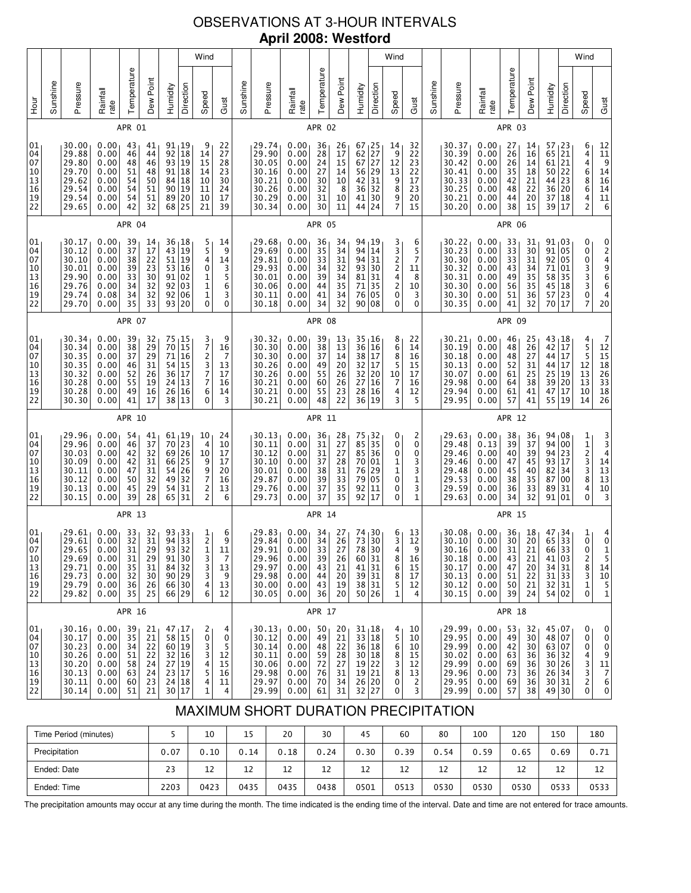# OBSERVATIONS AT 3-HOUR INTERVALS **April 2008: Westford**

| 01<br>04<br>07<br>10<br>13<br>16<br>19<br>22<br>01<br>04<br>07<br>10<br>13<br>16<br>19<br>22<br>01<br>04<br>07<br>10<br>13<br>16<br>19<br>22<br>01<br>04<br>07                                                          | 04<br>07<br>10<br>13<br>16<br>19<br>22                                                                                                                                                                                                        | Sunshine<br>уон<br>Но<br>01        |
|-------------------------------------------------------------------------------------------------------------------------------------------------------------------------------------------------------------------------|-----------------------------------------------------------------------------------------------------------------------------------------------------------------------------------------------------------------------------------------------|------------------------------------|
| 30.34<br>30.34<br>30.35<br>30.35<br>30.32<br>30.28<br>30.28<br>30.30<br>29.96<br>29.96<br>30.03<br>30.09<br>30.11<br>30.12<br>30.13<br>30.15<br>29.61<br>29.61                                                          | 29.88<br>29.80<br>29.70<br>29.62<br>29.54<br>29.54<br>29.65<br>30.17<br>30.12<br>30.10<br>30.01<br>29.90<br>29.76<br>29.74<br>29.70                                                                                                           | Pressure<br>30.00                  |
| 0.00<br>0.00<br>0.00<br>0.00<br>0.00<br>0.00<br>0.00<br>0.00<br>0.00<br>0.00<br>0.00<br>0.00<br>0.00<br>0.00<br>0.00<br>0.00<br>0.00<br>0.00<br>$29.65$ 0.00                                                            | 0.00<br>0.00<br>0.00<br>0.00<br>0.00<br>0.00<br>0.00<br>0.00<br>0.00<br>0.00<br>0.00<br>0.00<br>0.00<br>0.08<br>0.00                                                                                                                          | Rainfall<br>rate<br>0.00           |
| 38<br>37<br>46<br>52<br>55<br>49<br>41<br>APR 10<br>54<br>46<br>42<br>42<br>47<br>50<br>45<br>39<br>APR 13<br>33<br>32<br>31                                                                                            | 46<br>48<br>51<br>54<br>54<br>54<br>42<br>APR 04<br>39<br>37<br>38<br>39<br>33<br>34<br>34<br>35<br><b>APR 07</b><br>39                                                                                                                       | Temperature<br>APR 01<br>43        |
| 29<br>29<br>31<br>26<br>19<br>16<br>17<br>41<br>37<br>32<br>31<br>31<br>32<br>29<br>28<br>32<br>31<br>29                                                                                                                | 44<br>46<br>48<br>50<br>51<br>51<br>32<br>14<br>17<br>22<br>23<br>30<br>32<br>32<br>33<br>32                                                                                                                                                  | Dew Point<br>41                    |
| $70\,$<br>71<br>54 15<br>36 17<br>24 13<br>26 16<br>38 13<br>61 19<br>70 23<br>69 26<br>66 25<br>$54$ 26<br>49 32<br>54<br>65 31<br>$\begin{array}{ c c }\n 93 & 33 \\  94 & 33\n \end{array}$<br>93 32                 | 92<br>93<br>$91$ 18<br>84<br>90<br>89 20<br>68 25<br>$\begin{array}{c c} 36 & 18 \\ 43 & 19 \end{array}$<br>51<br>53<br>$91$ 02<br>92 03<br>92 06<br>93 20<br>75, 15                                                                          | Humidity<br>$91_119$               |
| 15<br>16<br>31                                                                                                                                                                                                          | 18<br>19<br>18<br>19<br>19<br>16                                                                                                                                                                                                              | Direction                          |
| 3<br>7<br>$\overline{c}$<br>3<br>7<br>$\overline{7}$<br>6<br>0<br>10<br>$\overline{4}$<br>10<br>9<br>9<br>7<br>$\overline{\mathbf{c}}$<br>$\overline{c}$<br>$\begin{bmatrix} 1 \\ 2 \\ 1 \end{bmatrix}$                 | 14<br>15<br>14<br>10<br>11<br>10<br>21<br>5<br>5<br>4<br>0<br>1<br>1<br>1<br>0                                                                                                                                                                | Speed<br>9                         |
| 16<br>7<br>13<br>17<br>16<br>14<br>3<br>24<br>10<br>17<br>17<br>20<br>16<br>13<br>6<br>6<br>9<br>11                                                                                                                     | 27<br>28<br>23<br>30<br>24<br>17<br>39<br>14<br>9<br>14<br>3<br>5<br>6<br>3<br>$\mathbf 0$<br>9                                                                                                                                               | Gust<br>22                         |
|                                                                                                                                                                                                                         |                                                                                                                                                                                                                                               | Sunshine                           |
| 30.30<br>30.30<br>30.26<br>30.26<br>30.21<br>30.21<br>30.21<br>30.13<br>30.11<br>30.12<br>30.10<br>30.01<br>29.87<br>29.76<br>29.73<br>29.83<br>29.84<br>29.91                                                          | 29.90<br>30.05<br>30.16<br>30.21<br>30.26<br>30.29<br>30.34<br>29.68<br>29.69<br>29.81<br>29.93<br>30.01<br>30.06<br>30.11<br>30.18<br>30.32                                                                                                  | Pressure<br>29.74                  |
| 0.00<br>0.00<br>0.00<br>0.00<br>0.00<br>0.00<br>0.00<br>0.00<br>0.00<br>0.00<br>0.00<br>0.00<br>0.00<br>0.00<br>0.00<br>0.00<br>0.00                                                                                    | 0.00<br>0.00<br>0.00<br>0.00<br>0.00<br>0.00<br>0.00<br>0.00<br>0.00<br>0.00<br>0.00<br>0.00<br>0.00<br>0.00<br>0.00<br>0.00<br>0.00                                                                                                          | Rainfall<br>rate<br>0.00           |
| 37<br>49<br>55<br>60<br>55<br>48<br>APR 11<br>36<br>31<br>31<br>37<br>38<br>39<br>37<br>37<br>APR 14<br>34<br>34<br>33                                                                                                  | 28<br>24<br>27<br>30<br>32<br>31<br>30<br>APR 05<br>36<br>35<br>33<br>34<br>39<br>44<br>41<br>34<br><b>APR 08</b><br>39<br>38                                                                                                                 | Temperature<br>APR 02<br>36        |
| 14<br>20<br>26<br>26<br>23<br>22<br>28<br>27<br>27<br>28<br>31<br>33<br>35<br>35<br>27<br>26<br>27                                                                                                                      | 17<br>15<br>14<br>$10\,$<br>8<br>10<br>11<br>34<br>34<br>31<br>32<br>34<br>35<br>34<br>32<br>13<br>13                                                                                                                                         | Dew Point<br>26                    |
| 38 17<br>32 17<br>32<br>20<br>27<br>16<br>28 16<br>36 19<br>$\begin{array}{c c} 75 & 32 \\ 85 & 35 \end{array}$<br>35<br>85 36<br>70 01<br>76<br>29<br>79<br>  05<br>92<br>11<br>92<br>17<br>74 30<br>73<br>30<br>78 30 | $\begin{array}{ c c }\n 27 \\  27\n \end{array}$<br>62<br>67<br>56 29<br>31<br>42<br>36<br>32<br>41<br>30<br>44<br>24<br>$94_119$<br>94<br>14<br>94<br>31<br>93<br>30<br>81<br>31<br>71<br>35<br>76<br>  05<br>90 08<br>$35 + 16$<br>36<br>16 | Humidity<br>Direction<br>$67 + 25$ |
| 10                                                                                                                                                                                                                      | 12<br>13                                                                                                                                                                                                                                      | Speed<br>14                        |
| 8<br>5<br>$\overline{7}$<br>4<br>3<br>0<br>0<br>0<br>1<br>$\mathbf 1$<br>0<br>0<br>0<br>$\frac{6}{3}$<br>$\overline{4}$                                                                                                 | 9<br>9<br>8<br>9<br>7<br>3<br>3<br>$\frac{2}{2}$<br>4<br>2<br>0<br>0<br>8<br>6                                                                                                                                                                |                                    |
| 16<br>15<br>17<br>16<br>12<br>5<br>2<br>0<br>0<br>3<br>3<br>1<br>3<br>1<br>13<br>12<br>q                                                                                                                                | 22<br>23<br>22<br>17<br>23<br>20<br>15<br>6<br>5<br>7<br>11<br>8<br>10<br>3<br>0<br>22<br>14                                                                                                                                                  | Gust<br>32                         |
|                                                                                                                                                                                                                         |                                                                                                                                                                                                                                               | Sunshine                           |
| 30.18<br>30.13<br>30.07<br>29.98<br>29.94<br>29.95<br>29.63<br>29.48<br>29.46<br>29.46<br>29.48<br>29.53<br>29.59<br>29.63<br>30.08<br>30.10<br>30.16                                                                   | 30.39<br>30.42<br>30.41<br>30.33<br>30.25<br>30.21<br>30.20<br>30.22<br>$30.23$<br>$30.30$<br>30.32<br>30.31<br>30.30<br>30.30<br>30.35<br>30.21<br>30.19                                                                                     | Pressure<br>30.37                  |
| 0.00<br>0.00<br>0.00<br>0.00<br>0.00<br>0.00<br>0.00<br>0.13<br>0.00<br>0.00<br>0.00<br>0.00<br>0.00<br>0.00<br>0.00<br>0.00<br>0.00                                                                                    | 0.00<br>0.00<br>0.00<br>0.00<br>0.00<br>0.00<br>0.00<br>0.00<br>0.00<br>0.00<br>0.00<br>0.00<br>0.00<br>0.00<br>0.00<br>0.00<br>0.00                                                                                                          | Rainfall<br>rate<br>0.00           |
| 48<br>52<br>61<br>64<br>61<br>57<br>APR 12<br>38<br>39<br>40<br>47<br>45<br>38<br>36<br>34<br>APR 15<br>36<br>30<br>31                                                                                                  | 26<br>26<br>35<br>42<br>48<br>44<br>38<br>APR 06<br>$\begin{array}{c} 33 \\ 33 \end{array}$<br>33<br>43<br>49<br>56<br>51<br>41<br><b>APR 09</b><br>46<br>48                                                                                  | Temperature<br>APR 03<br>27        |
| 27<br>31<br>25<br>38<br>41<br>41<br>36<br>37<br>39<br>45<br>40<br>35<br>33<br>32<br>18<br>$20\,$<br>21                                                                                                                  | 16<br>14<br>18<br>21<br>22<br>20<br>15<br>31<br>30<br>31<br>34<br>35<br>35<br>36<br>32<br>25<br>26                                                                                                                                            | Dew Point<br>14                    |
| 44<br>44 17<br>25 19<br>39<br>47<br>55<br>$94 \mid 08$<br>94<br>94<br>93 17<br>82<br>87<br>89<br>91 01<br>47<br>65 33<br>66 33                                                                                          | 65<br>61<br>50 22<br>44 23<br>36<br>37<br>39<br>$91_103$<br>91<br>92 05<br>71<br>58<br>45<br>57<br>70<br>$43 \mid 18$<br>42                                                                                                                   | Humidity<br>57                     |
| 17<br> 20<br> 17<br> 19<br>00<br>23<br>34<br>  00<br>31<br>34                                                                                                                                                           | 21<br>21<br>20<br> 18<br>  17<br>  05<br>01<br>35<br> 18<br>23<br>17<br>17                                                                                                                                                                    | Direction<br>23                    |
| $\begin{array}{c} 12 \\ 13 \end{array}$<br>$\overline{1}$<br>10<br>14<br>1<br>$\begin{array}{c}\n1 \\ 2 \\ 3 \\ 3 \\ 8\n\end{array}$<br>4<br>$\mathbf{0}$<br>$\frac{1}{0}$<br>$\Omega$                                  | 44686<br>4<br>$\overline{c}$<br>0<br>0<br>0<br>3<br>3<br>3<br>0<br>7<br>$\begin{array}{c} 4 \\ 5 \\ 5 \end{array}$                                                                                                                            | Speed<br>6                         |
| 12<br>15<br>18<br>26<br>33<br>18<br>26<br>$\begin{array}{c} 3 \\ 3 \\ 4 \end{array}$<br>$14$<br>$13$<br>$13$<br>$10$<br>3<br>$\begin{matrix} 4 \\ 0 \end{matrix}$<br>$\mathbf{1}$                                       | $\begin{array}{c} 11 \\ 9 \\ 14 \\ 16 \\ 14 \\ 11 \end{array}$<br>6<br>024966<br>4<br>20<br>7                                                                                                                                                 | Gust<br>12                         |

# MAXIMUM SHORT DURATION PRECIPITATION

| Time Period (minutes) |      | 10   | 15   | 20   | 30   | 45   | 60   | 80   | 100  | 120  | 150  | 180  |
|-----------------------|------|------|------|------|------|------|------|------|------|------|------|------|
| Precipitation         | 0.07 | 0.10 | 0.14 | 0.18 | 0.24 | 0.30 | 0.39 | 0.54 | 0.59 | 0.65 | 0.69 | 0.71 |
| Ended: Date           | 23   | 12   | 12   | 12   | 12   | 12   | 12   | 12   | 12   | 12   | 12   | 12   |
| Ended: Time           | 2203 | 0423 | 0435 | 0435 | 0438 | 0501 | 0513 | 0530 | 0530 | 0530 | 0533 | 0533 |

The precipitation amounts may occur at any time during the month. The time indicated is the ending time of the interval. Date and time are not entered for trace amounts.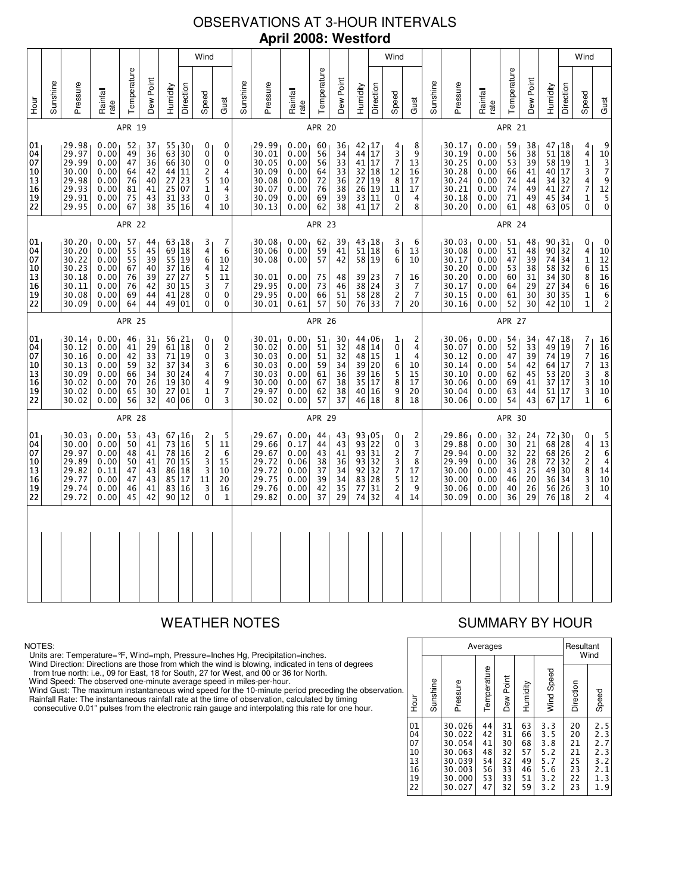# OBSERVATIONS AT 3-HOUR INTERVALS **April 2008: Westford**

|                                                                             |          |                                                                      |                                                              |                                              |                                                           |                                        |                                                                                             | Wind                                                                    |                                                                |               |                                                                      |                                                              |                                              |                                                                        |                                                                                                         |                                                     | Wind                                              |                                                      |          |                                                                                   |                                                              |                                              |                                                           |                                                                           |           | Wind                                                                                    |                                                                                                                                       |
|-----------------------------------------------------------------------------|----------|----------------------------------------------------------------------|--------------------------------------------------------------|----------------------------------------------|-----------------------------------------------------------|----------------------------------------|---------------------------------------------------------------------------------------------|-------------------------------------------------------------------------|----------------------------------------------------------------|---------------|----------------------------------------------------------------------|--------------------------------------------------------------|----------------------------------------------|------------------------------------------------------------------------|---------------------------------------------------------------------------------------------------------|-----------------------------------------------------|---------------------------------------------------|------------------------------------------------------|----------|-----------------------------------------------------------------------------------|--------------------------------------------------------------|----------------------------------------------|-----------------------------------------------------------|---------------------------------------------------------------------------|-----------|-----------------------------------------------------------------------------------------|---------------------------------------------------------------------------------------------------------------------------------------|
| <b>Hour</b>                                                                 | Sunshine | Pressure                                                             | Rainfall<br>rate                                             | Temperature                                  | Dew Point                                                 | Humidity                               | Direction                                                                                   | Speed                                                                   | Gust                                                           | Sunshine      | Pressure                                                             | Rainfall<br>rate                                             | Temperature                                  | Dew Point                                                              | Humidity                                                                                                | Direction                                           | Speed                                             | Gust                                                 | Sunshine | Pressure                                                                          | Rainfall<br>rate                                             | Temperature                                  | Dew Point                                                 | Humidity                                                                  | Direction | Speed                                                                                   | Gust                                                                                                                                  |
|                                                                             |          |                                                                      |                                                              | APR 19                                       |                                                           |                                        |                                                                                             |                                                                         |                                                                | APR 20        |                                                                      |                                                              |                                              |                                                                        |                                                                                                         |                                                     |                                                   |                                                      |          |                                                                                   | APR 21                                                       |                                              |                                                           |                                                                           |           |                                                                                         |                                                                                                                                       |
| 01<br>04<br>07<br>10<br>13<br>16<br>$\begin{array}{c} 19 \\ 22 \end{array}$ |          | 29.98<br>29.97<br>29.99<br>30.00<br>29.98<br>29.93<br>29.91<br>29.95 | 0.00<br>0.00<br>0.00<br>0.00<br>0.00<br>0.00<br>0.00<br>0.00 | 52<br>49<br>47<br>64<br>76<br>81<br>75<br>67 | 37<br>36<br>36<br>42<br>40<br>41<br>43<br>38              | 63<br>66<br>44<br>27<br>25             | 55, 30<br>30<br>30<br>11<br>23<br>07<br>31 33<br>35 16                                      | 0<br>0<br>0<br>2<br>$\overline{5}$<br>$\overline{\mathbf{1}}$<br>0<br>4 | 0<br>0<br>$\mathbf 0$<br>4<br>10<br>4<br>3<br>10               |               | 29.99<br>30.01<br>30.05<br>30.09<br>30.08<br>30.07<br>30.09<br>30.13 | 0.00<br>0.00<br>0.00<br>0.00<br>0.00<br>0.00<br>0.00<br>0.00 | 60<br>56<br>56<br>64<br>72<br>76<br>69<br>62 | 36<br>34<br>$\overline{33}$<br>33<br>36<br>38<br>39<br>38              | $42 \mid 17$<br>44<br>41<br>32<br>27<br>$\begin{array}{c c} 27 & 19 \\ 26 & 19 \end{array}$<br>33<br>41 | $\overline{17}$<br>17<br>18<br>11<br>17             | 4<br>$\frac{3}{7}$<br>12<br>8<br>11<br>0<br>2     | 8<br>9<br>13<br>16<br>17<br>17<br>4<br>8             |          | 30.17<br>30.19<br>30.25<br>30.28<br>30.24<br>30.21<br>30.18<br>30.20              | 0.00<br>0.00<br>0.00<br>0.00<br>0.00<br>0.00<br>0.00<br>0.00 | 59<br>56<br>53<br>66<br>74<br>74<br>71<br>61 | 38<br>38<br>$\overline{39}$<br>41<br>44<br>49<br>49<br>48 | $47 + 18$<br>51 18<br>58 19<br>40 17<br>34 32<br>41 27<br>45 34<br>63 05  |           | 4<br>$\frac{4}{1}$<br>3<br>4<br>$\overline{7}$<br>$\mathbf{1}$<br>0                     | 9<br>$10377912$<br>$\begin{smallmatrix}5\\0\end{smallmatrix}$                                                                         |
|                                                                             | APR 22   |                                                                      |                                                              |                                              |                                                           |                                        |                                                                                             |                                                                         |                                                                |               |                                                                      |                                                              | APR 23                                       |                                                                        |                                                                                                         |                                                     |                                                   |                                                      |          |                                                                                   |                                                              | APR 24                                       |                                                           |                                                                           |           |                                                                                         |                                                                                                                                       |
| 01<br>04<br>07<br>10<br>13<br>16<br>19<br>22                                |          | 30.20<br>30.20<br>30.22<br>30.23<br>30.18<br>30.11<br>30.08<br>30.09 | 0.00<br>0.00<br>0.00<br>0.00<br>0.00<br>0.00<br>0.00<br>0.00 | 57<br>55<br>55<br>67<br>76<br>76<br>69<br>64 | 44<br>45<br>39<br>40<br>39<br>42<br>44<br>44              | 69<br>55<br>37<br>27<br>30             | 63, 18<br>18<br>19<br>16<br>27<br>15<br>41 28<br>49 01                                      | 3<br>4<br>6<br>4<br>5<br>3<br>$\bar{0}$<br>0                            | 7<br>6<br>10<br>12<br>11<br>7<br>0<br>$\mathbf 0$              |               | 30.08<br>30.06<br>30.08<br>30.01<br>29.95<br>29.95<br>30.01          | 0.00<br>0.00<br>0.00<br>0.00<br>0.00<br>0.00<br>0.61         | 62<br>59<br>57<br>75<br>73<br>66<br>57       | 39<br>41<br>42<br>48<br>46<br>51<br>50                                 | 43 18<br>51<br>58 19<br>39<br>$\begin{array}{c c} 38 & 24 \\ 58 & 28 \end{array}$<br>76                 | 18<br>23<br>33                                      | 3<br>6<br>6<br>7<br>$\frac{3}{2}$<br>7            | 6<br>13<br>10<br>16<br>7<br>7<br>20                  |          | 30.03 <sub>1</sub><br>30.08<br>30.17<br>30.20<br>30.20<br>30.17<br>30.15<br>30.16 | 0.00<br>0.00<br>0.00<br>0.00<br>0.00<br>0.00<br>0.00<br>0.00 | 51<br>51<br>47<br>53<br>60<br>64<br>61<br>52 | 48<br>48<br>39<br>38<br>31<br>29<br>30<br>30              | 90, 31<br>90 32<br>74 <br>58 32<br>34 30<br>27<br>30 35<br>42 10          | 34<br>34  | 0<br>4<br>$\mathbf 1$<br>6<br>8<br>6<br>$\mathbf{1}$<br>$\mathbf{1}$                    | 0<br>10<br>12<br>$\overline{15}$<br>16<br>$\begin{array}{c} 16 \\ 6 \end{array}$<br>$\mathsf{2}$                                      |
|                                                                             | APR 25   |                                                                      |                                                              |                                              |                                                           |                                        |                                                                                             |                                                                         |                                                                |               |                                                                      |                                                              | APR 26                                       |                                                                        |                                                                                                         |                                                     |                                                   |                                                      |          |                                                                                   |                                                              | <b>APR 27</b>                                |                                                           |                                                                           |           |                                                                                         |                                                                                                                                       |
| 01<br>04<br>07<br>10<br>13<br>16<br>19<br>22                                |          | 30.14<br>30.12<br>30.16<br>30.13<br>30.09<br>30.02<br>30.02<br>30.02 | 0.00<br>0.00<br>0.00<br>0.00<br>0.00<br>0.00<br>0.00<br>0.00 | 46<br>41<br>42<br>59<br>66<br>70<br>65<br>56 | 31<br>$\overline{29}$<br>33<br>32<br>34<br>26<br>30<br>32 | 71<br>37<br>19<br>27                   | $\begin{array}{c} 56 & 21 \\ 61 & 18 \end{array}$<br>19<br>34<br>30 24<br>30<br>01<br>40 06 | 0<br>0<br>0<br>3<br>4<br>$\overline{4}$<br>$\mathbf 1$<br>0             | 0<br>2<br>3<br>6<br>$\overline{7}$<br>9<br>$\overline{7}$<br>3 |               | 30.01<br>30.02<br>30.03<br>30.03<br>30.03<br>30.00<br>29.97<br>30.02 | 0.00<br>0.00<br>0.00<br>0.00<br>0.00<br>0.00<br>0.00<br>0.00 | 51<br>51<br>51<br>59<br>61<br>67<br>62<br>57 | 30<br>$\overline{32}$<br>$\overline{32}$<br>34<br>36<br>38<br>38<br>37 | 44,06<br>48 14<br>48<br>39 20<br>39 16<br>35<br>40 16<br>46 18                                          | $\overline{15}$<br>$\overline{17}$                  | 1<br>0<br>1<br>6<br>5<br>8<br>9<br>8              | 2<br>4<br>4<br>10<br>15<br>17<br>20<br>18            |          | 30.06<br>30.07<br>30.12<br>30.14<br>30.10<br>30.06<br>30.04<br>30.06              | 0.00<br>0.00<br>0.00<br>0.00<br>0.00<br>0.00<br>0.00<br>0.00 | 54<br>52<br>47<br>54<br>62<br>69<br>63<br>54 | 34<br>33<br>39<br>42<br>45<br>41<br>44<br>43              | $47 + 18$<br>49 19<br>74 19<br>64 17<br>53 20<br>37<br>51 17<br>67 17     | 17        | 7<br>7<br>7<br>$\overline{7}$<br>3<br>3<br>3<br>$\mathbf{1}$                            | $\begin{array}{c} 16 \\ 16 \end{array}$<br>$\overline{16}$<br>$\begin{array}{c}\n 13 \\  8 \\  10\n \end{array}$<br>$10\,$<br>$\,6\,$ |
|                                                                             |          |                                                                      |                                                              | <b>APR 28</b>                                |                                                           |                                        |                                                                                             |                                                                         |                                                                | <b>APR 29</b> |                                                                      |                                                              |                                              |                                                                        |                                                                                                         |                                                     |                                                   |                                                      | APR 30   |                                                                                   |                                                              |                                              |                                                           |                                                                           |           |                                                                                         |                                                                                                                                       |
| 01<br>04<br>07<br>10<br>13<br>16<br>19<br>22                                |          | 30.03<br>30.00<br>29.97<br>29.89<br>29.82<br>29.77<br>29.74<br>29.72 | 0.00<br>0.00<br>0.00<br>0.00<br>0.11<br>0.00<br>0.00<br>0.00 | 53<br>50<br>48<br>50<br>47<br>47<br>46<br>45 | 43<br>41<br>41<br>41<br>43<br>43<br>41<br>42              | 73<br>78<br>70<br>86<br>85<br>83<br>90 | 67, 16<br>16<br><b>16</b><br>15<br>18<br>17<br>16<br>12                                     | 2<br>5<br>$\overline{c}$<br>3<br>$\overline{3}$<br>11<br>3<br>0         | 5<br>11<br>6<br>15<br>10<br>20<br>16<br>1                      |               | 29.67<br>29.66<br>29.67<br>29.72<br>29.72<br>29.75<br>29.76<br>29.82 | 0.00<br>0.17<br>0.00<br>0.06<br>0.00<br>0.00<br>0.00<br>0.00 | 44<br>44<br>43<br>38<br>37<br>39<br>42<br>37 | 43<br>43<br>41<br>36<br>34<br>34<br>35<br>29                           | 93 05<br>93<br>93<br>93<br>92<br>83<br>77<br>74                                                         | 22<br>31<br>32<br>32<br>28<br>31<br>$\overline{32}$ | 0<br>0<br>2<br>3<br>7<br>5<br>$\overline{2}$<br>4 | 2<br>3<br>$\overline{7}$<br>8<br>17<br>12<br>9<br>14 |          | 29.86<br>29.88<br>29.94<br>29.99<br>30.00<br>30.00<br>30.06<br>30.09              | 0.00<br>0.00<br>0.00<br>0.00<br>0.00<br>0.00<br>0.00<br>0.00 | 32<br>30<br>32<br>36<br>43<br>46<br>40<br>36 | 24<br>21<br>22<br>28<br>$\overline{25}$<br>20<br>26<br>29 | $72 \mid 30$<br>68 28<br>68 26<br>72 <br>49 30<br>36 34<br>56 26<br>76 18 | 32        | 0<br>$\begin{array}{c} 4 \\ 2 \\ 2 \\ 8 \end{array}$<br>$\frac{3}{3}$<br>$\overline{c}$ | 5<br>13<br>$6\over 4$<br>14<br>10<br>$\overline{10}$<br>4                                                                             |
|                                                                             |          |                                                                      |                                                              |                                              |                                                           |                                        |                                                                                             |                                                                         |                                                                |               |                                                                      |                                                              |                                              |                                                                        |                                                                                                         |                                                     |                                                   |                                                      |          |                                                                                   |                                                              |                                              |                                                           |                                                                           |           |                                                                                         |                                                                                                                                       |

### NOTES:

Units are: Temperature=°F, Wind=mph, Pressure=Inches Hg, Precipitation=inches.

Wind Direction: Directions are those from which the wind is blowing, indicated in tens of degrees<br>from true north: i.e., 09 for East, 18 for South, 27 for West, and 00 or 36 for North.<br>Wind Speed: The observed one-minute a

Wind Gust: The maximum instantaneous wind speed for the 10-minute period preceding the observation Rainfall Rate: The instantaneous rainfall rate at the time of observation, calculated by timing

consecutive 0.01" pulses from the electronic rain gauge and interpolating this rate for one hour.

# WEATHER NOTES SUMMARY BY HOUR

|    |                                              |          |                                                                              | Averages                                     |                                              |                                              | Resultant<br>Wind                                    |                                              |                                                      |  |  |  |
|----|----------------------------------------------|----------|------------------------------------------------------------------------------|----------------------------------------------|----------------------------------------------|----------------------------------------------|------------------------------------------------------|----------------------------------------------|------------------------------------------------------|--|--|--|
| n. | ја<br>Но                                     | Sunshine | Pressure                                                                     | Temperature                                  | Dew Point                                    | Humidity                                     | Wind Speed                                           | Direction                                    | Speed                                                |  |  |  |
|    | 01<br>04<br>07<br>10<br>13<br>16<br>19<br>22 |          | 30.026<br>30.022<br>30.054<br>30.063<br>30.039<br>30.003<br>30.000<br>30.027 | 44<br>42<br>41<br>48<br>54<br>56<br>53<br>47 | 31<br>31<br>30<br>32<br>32<br>33<br>33<br>32 | 63<br>66<br>68<br>57<br>49<br>46<br>51<br>59 | 3.3<br>3.5<br>3.8<br>5.2<br>5.7<br>5.6<br>3.2<br>3.2 | 20<br>20<br>21<br>21<br>25<br>23<br>22<br>23 | 2.5<br>2.3<br>2.7<br>2.3<br>3.2<br>2.1<br>1.3<br>1.9 |  |  |  |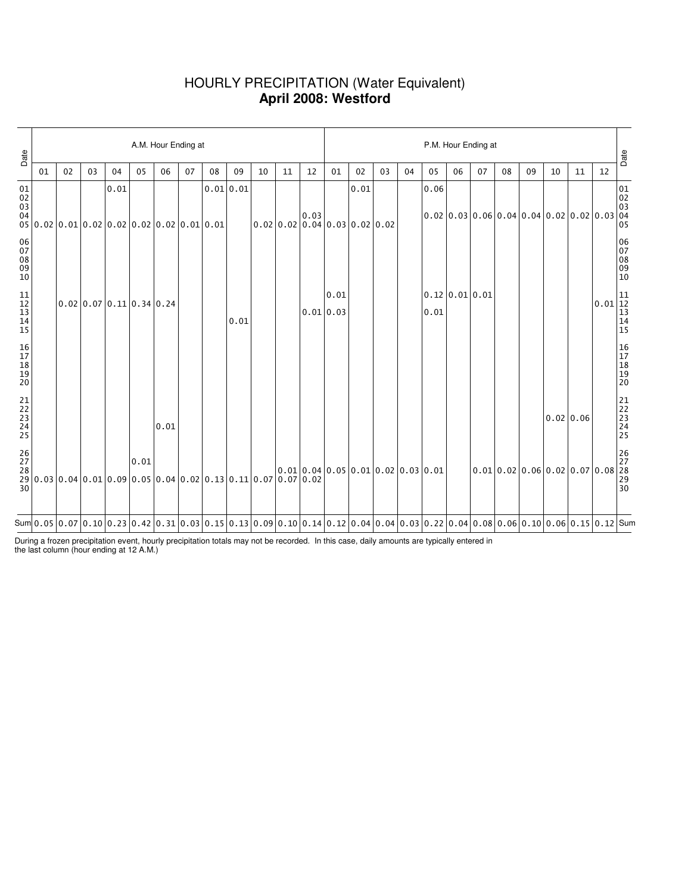### HOURLY PRECIPITATION (Water Equivalent) **April 2008: Westford**

| Date                                                         |    |    |    |      |                            |      | A.M. Hour Ending at |                                                                                                                                                                                                                                                                                                                                                                           |           |    |    |           | P.M. Hour Ending at |                                        |    |    |      |                |    |                                                                                                                                                                     |    |           |    |                                                          |                                                            |
|--------------------------------------------------------------|----|----|----|------|----------------------------|------|---------------------|---------------------------------------------------------------------------------------------------------------------------------------------------------------------------------------------------------------------------------------------------------------------------------------------------------------------------------------------------------------------------|-----------|----|----|-----------|---------------------|----------------------------------------|----|----|------|----------------|----|---------------------------------------------------------------------------------------------------------------------------------------------------------------------|----|-----------|----|----------------------------------------------------------|------------------------------------------------------------|
|                                                              | 01 | 02 | 03 | 04   | 05                         | 06   | 07                  | 08                                                                                                                                                                                                                                                                                                                                                                        | 09        | 10 | 11 | 12        | 01                  | 02                                     | 03 | 04 | 05   | 06             | 07 | 08                                                                                                                                                                  | 09 | 10        | 11 | 12                                                       | Date                                                       |
| $\begin{array}{c} 01 \\ 02 \\ 03 \end{array}$<br>04          |    |    |    | 0.01 |                            |      |                     | $0.02 \mid 0.02 \mid 0.01 \mid 0.02 \mid 0.02 \mid 0.02 \mid 0.02 \mid 0.01 \mid 0.01$                                                                                                                                                                                                                                                                                    | 0.01 0.01 |    |    | 0.03      |                     | 0.01<br> 0.02 0.02 0.04 0.03 0.02 0.02 |    |    | 0.06 |                |    | $0.02 \mid 0.03 \mid 0.06 \mid 0.04 \mid 0.04 \mid 0.02 \mid 0.02 \mid 0.03$                                                                                        |    |           |    |                                                          | $\begin{bmatrix} 01 \\ 02 \\ 03 \\ 04 \\ 05 \end{bmatrix}$ |
| 06<br>07<br>08<br>09<br>10                                   |    |    |    |      |                            |      |                     |                                                                                                                                                                                                                                                                                                                                                                           |           |    |    |           |                     |                                        |    |    |      |                |    |                                                                                                                                                                     |    |           |    |                                                          | 06<br>07<br>08<br>09<br>09<br>10                           |
| $\begin{array}{c} 11 \\ 12 \\ 13 \\ 14 \\ \end{array}$<br>15 |    |    |    |      | $0.02$ 0.07 0.11 0.34 0.24 |      |                     |                                                                                                                                                                                                                                                                                                                                                                           | 0.01      |    |    | 0.01 0.03 | 0.01                |                                        |    |    | 0.01 | 0.12 0.01 0.01 |    |                                                                                                                                                                     |    |           |    | $\begin{bmatrix} 0.01 \ 12 \ 13 \ 14 \ 15 \end{bmatrix}$ |                                                            |
| 16<br>17<br>18<br>19<br>19<br>20                             |    |    |    |      |                            |      |                     |                                                                                                                                                                                                                                                                                                                                                                           |           |    |    |           |                     |                                        |    |    |      |                |    |                                                                                                                                                                     |    |           |    |                                                          | 16<br>17<br>18<br>19<br>19<br>20                           |
| 21<br>22<br>23<br>24<br>25                                   |    |    |    |      |                            | 0.01 |                     |                                                                                                                                                                                                                                                                                                                                                                           |           |    |    |           |                     |                                        |    |    |      |                |    |                                                                                                                                                                     |    | 0.02 0.06 |    |                                                          | 21<br>22<br>23<br>24<br>24<br>25                           |
| $\frac{26}{27}$<br>30                                        |    |    |    |      | 0.01                       |      |                     |                                                                                                                                                                                                                                                                                                                                                                           |           |    |    |           |                     | 0.01 0.04 0.05 0.01 0.02 0.03 0.01     |    |    |      |                |    | $\left 0.01\left 0.02\right 0.06\left 0.02\right 0.07\left 0.08\left \begin{array}{l}\t\frac{26}{27} \\ 0.08 & \t\frac{28}{29} \\ 30 & \t\end{array}\right \right.$ |    |           |    |                                                          |                                                            |
|                                                              |    |    |    |      |                            |      |                     | Sum $\vert$ 0.05 $\vert$ 0.07 $\vert$ 0.10 $\vert$ 0.23 $\vert$ 0.42 $\vert$ 0.31 $\vert$ 0.03 $\vert$ 0.15 $\vert$ 0.13 $\vert$ 0.09 $\vert$ 0.10 $\vert$ 0.1 $\vert$ 0.10 $\vert$ 0.12 $\vert$ 0.04 $\vert$ 0.04 $\vert$ 0.03 $\vert$ 0.03 $\vert$ 0.22 $\vert$ 0.04 $\vert$ 0.08 $\vert$ 0.06 $\vert$ 0.10 $\vert$ 0.06 $\vert$ 0.10 $\vert$ 0.05 $\vert$ 0.12 $\vert$ |           |    |    |           |                     |                                        |    |    |      |                |    |                                                                                                                                                                     |    |           |    |                                                          |                                                            |

During a frozen precipitation event, hourly precipitation totals may not be recorded. In this case, daily amounts are typically entered in the last column (hour ending at 12 A.M.)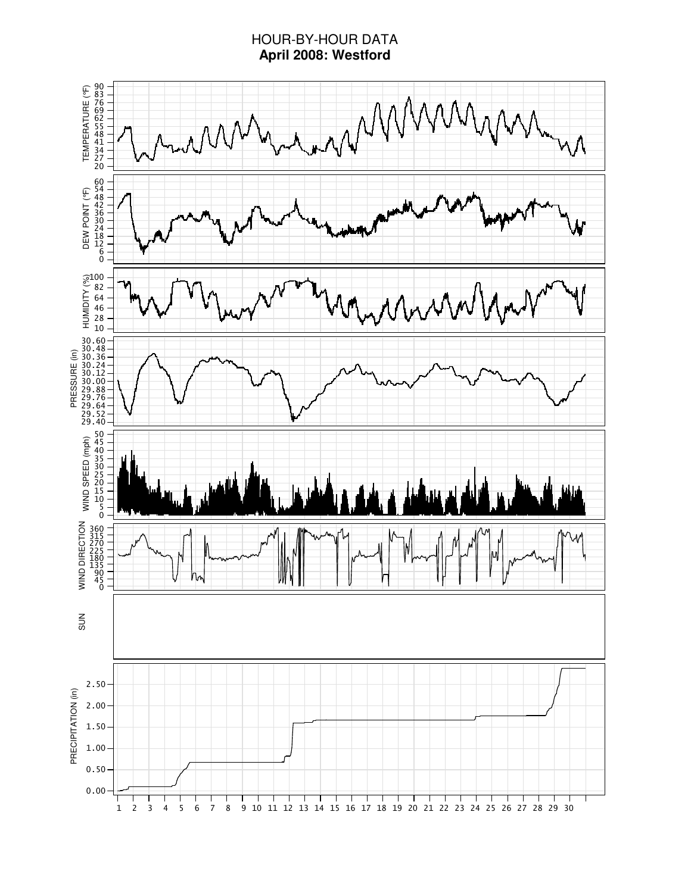### HOUR-BY-HOUR DATA **April 2008: Westford**